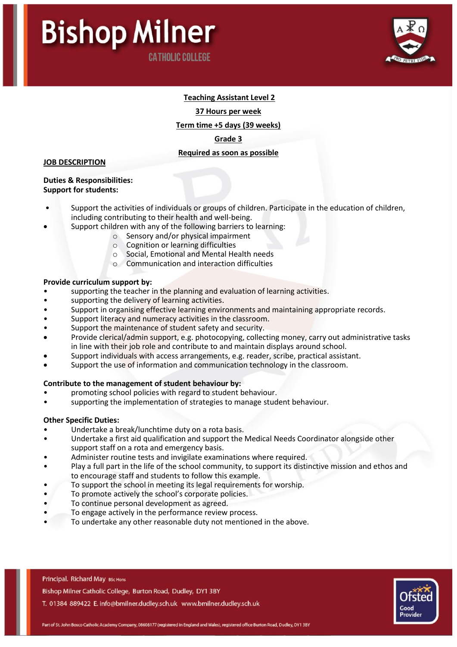

# **Teaching Assistant Level 2**

**37 Hours per week**

**Term time +5 days (39 weeks)**

**Grade 3**

# **Required as soon as possible**

### **JOB DESCRIPTION**

#### **Duties & Responsibilities: Support for students:**

- Support the activities of individuals or groups of children. Participate in the education of children, including contributing to their health and well-being.
- Support children with any of the following barriers to learning:
	- o Sensory and/or physical impairment
	- o Cognition or learning difficulties
	- o Social, Emotional and Mental Health needs
	- o Communication and interaction difficulties

### **Provide curriculum support by:**

- supporting the teacher in the planning and evaluation of learning activities.
- supporting the delivery of learning activities.
- Support in organising effective learning environments and maintaining appropriate records.
- Support literacy and numeracy activities in the classroom.
- Support the maintenance of student safety and security.
- Provide clerical/admin support, e.g. photocopying, collecting money, carry out administrative tasks in line with their job role and contribute to and maintain displays around school.
- Support individuals with access arrangements, e.g. reader, scribe, practical assistant.
- Support the use of information and communication technology in the classroom.

# **Contribute to the management of student behaviour by:**

- promoting school policies with regard to student behaviour.
- supporting the implementation of strategies to manage student behaviour.

# **Other Specific Duties:**

- Undertake a break/lunchtime duty on a rota basis.
- Undertake a first aid qualification and support the Medical Needs Coordinator alongside other support staff on a rota and emergency basis.
- Administer routine tests and invigilate examinations where required.
- Play a full part in the life of the school community, to support its distinctive mission and ethos and to encourage staff and students to follow this example.
- To support the school in meeting its legal requirements for worship.
- To promote actively the school's corporate policies.
- To continue personal development as agreed.
- To engage actively in the performance review process.
- To undertake any other reasonable duty not mentioned in the above.

Principal. Richard May BSc Hons

Bishop Milner Catholic College, Burton Road, Dudley, DY1 3BY

T. 01384 889422 E. info@bmilner.dudley.sch.uk www.bmilner.dudley.sch.uk